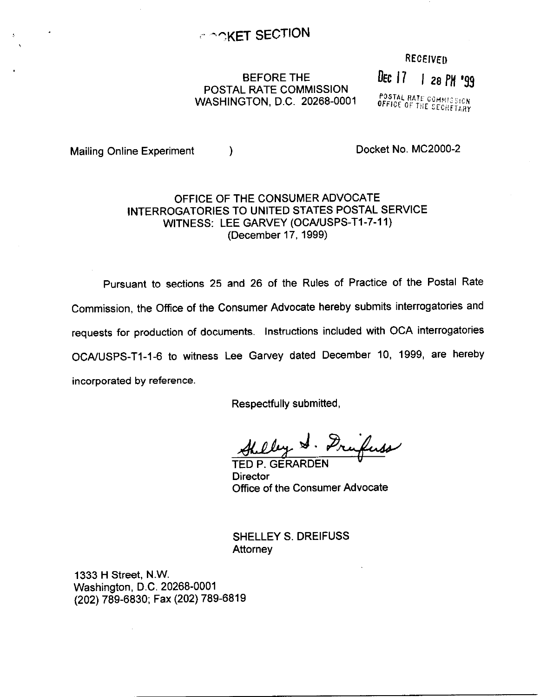### RECEIVED

# BEFORE THE BEFORE THE BEFORE THE BEFORE THE POSTAL RATE COMMISSION WASHINGTON, D.C. 20268-0001

POSTAL RATE COMMISSION<br>OFFICE OF THE SECRETARY

Mailing Online Experiment (a) and the control of the Docket No. MC2000-2

## OFFICE OF THE CONSUMER ADVOCATE INTERROGATORIES TO UNITED STATES POSTAL SERVICE WITNESS: LEE GARVEY (OCA/USPS-T1-7-11) (December 17,1999)

Pursuant to sections 25 and 26 of the Rules of Practice of the Postal Rate Commission, the Office of the Consumer Advocate hereby submits interrogatories and requests for production of documents. Instructions included with OCA interrogatories OCA/USPS-T1-1-6 to witness Lee Garvey dated December 10, 1999, are hereby incorporated by reference.

Respectfully submitted,

Hulley S. Frufuss

**Director** Office of the Consumer Advocate

SHELLEY S. DREIFUSS Attorney

1333 H Street, N.W. Washington, D.C. 20268-0001 (202) 789-6830; Fax (202) 789-6819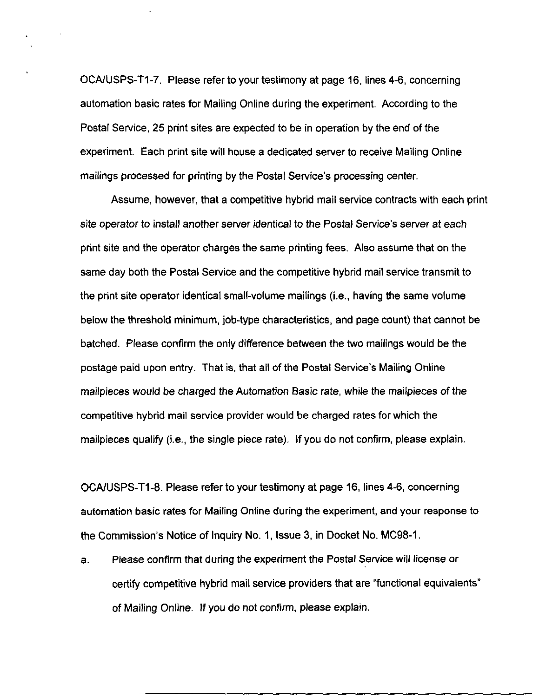OCAIUSPS-Tl-7. Please refer to your testimony at page 16, lines 4-6, concerning automation basic rates for Mailing Online during the experiment. According to the Postal Service, 25 print sites are expected to be in operation by the end of the experiment. Each print site will house a dedicated server to receive Mailing Online mailings processed for printing by the Postal Service's processing center.

Assume, however, that a competitive hybrid mail service contracts with each print site operator to install another server identical to the Postal Service's server at each print site and the operator charges the same printing fees. Also assume that on the same day both the Postal Service and the competitive hybrid mail service transmit to the print site operator identical small-volume mailings (i.e., having the same volume below the threshold minimum, job-type characteristics, and page count) that cannot be batched. Please confirm the only difference between the two mailings would be the postage paid upon entry. That is, that all of the Postal Service's Mailing Online mailpieces would be charged the Automation Basic rate, while the mailpieces of the competitive hybrid mail service provider would be charged rates for which the mailpieces qualify (i.e., the single piece rate). If you do not confirm, please explain.

OCA/USPS-Tl-8. Please refer to your testimony at page 16, lines 4-6, concerning automation basic rates for Mailing Online during the experiment, and your response to the Commission's Notice of Inquiry No. 1, Issue 3, in Docket No. MC98-1.

a. Please confirm that during the experiment the Postal Service will license or certify competitive hybrid mail service providers that are "functional equivalents" of Mailing Online. If you do not confirm, please explain.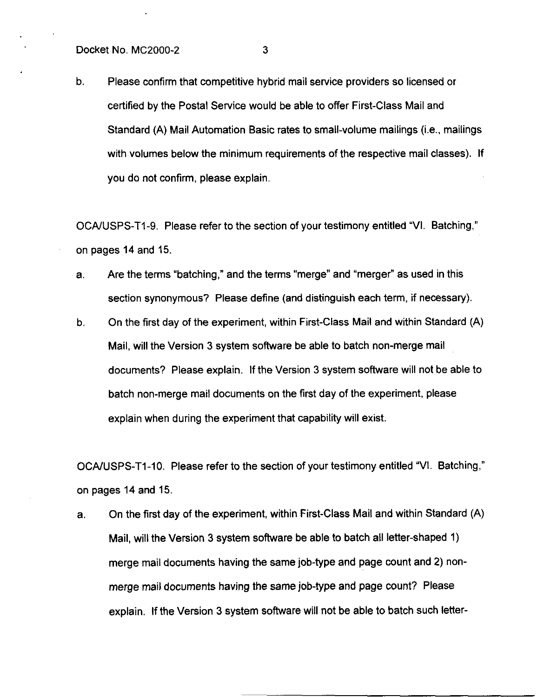b. Please confirm that competitive hybrid mail service providers so licensed or certified by the Postal Service would be able to offer First-Class Mail and Standard (A) Mail Automation Basic rates to small-volume mailings (i.e., mailings with volumes below the minimum requirements of the respective mail classes). If you do not confirm, please explain.

OCA/USPS-T1-9. Please refer to the section of your testimony entitled "VI. Batching," on pages 14 and 15.

- a. Are the terms "batching," and the terms "merge" and "merger" as used in this section synonymous? Please define (and distinguish each term, if necessary).
- b. On the first day of the experiment, within First-Class Mail and within Standard (A) Mail, will the Version 3 system software be able to batch non-merge mail documents? Please explain. If the Version 3 system software will not be able to batch non-merge mail documents on the first day of the experiment, please explain when during the experiment that capability will exist.

OCA/USPS-T1-10. Please refer to the section of your testimony entitled "VI. Batching," on pages 14 and 15.

a. On the first day of the experiment, within First-Class Mail and within Standard (A) Mail, will the Version 3 system software be able to batch all letter-shaped 1) merge mail documents having the same job-type and page count and 2) nonmerge mail documents having the same job-type and page count? Please explain, If the Version 3 system software will not be able to batch such letter-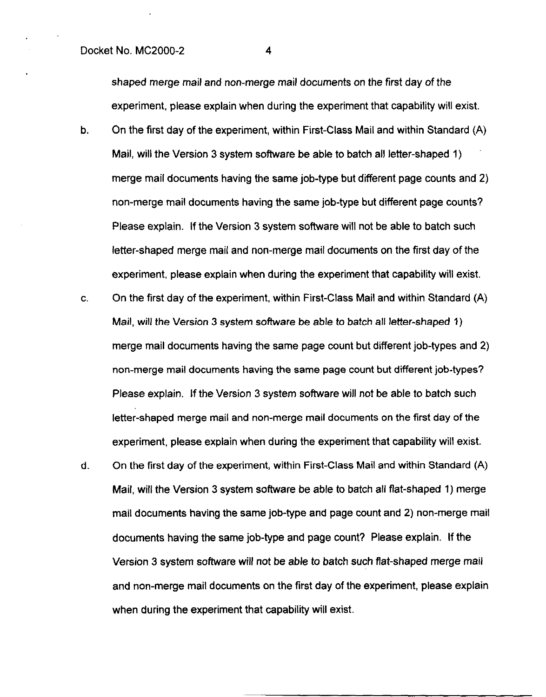### Docket No. MC2000-2 4

shaped merge mail and non-merge mail documents on the first day of the experiment, please explain when during the experiment that capability will exist.

- b. On the first day of the experiment, within First-Class Mail and within Standard (A) Mail, will the Version 3 system software be able to batch all letter-shaped 1) merge mail documents having the same job-type but different page counts and 2) non-merge mail documents having the same job-type but different page counts? Please explain. If the Version 3 system software will not be able to batch such letter-shaped merge mail and non-merge mail documents on the first day of the experiment, please explain when during the experiment that capability will exist.
- C. On the first day of the experiment, within First-Class Mail and within Standard (A) Mail, will the Version 3 system software be able to batch all letter-shaped 1) merge mail documents having the same page count but different job-types and 2) non-merge mail documents having the same page count but different job-types? Please explain. If the Version 3 system software will not be able to batch such letter-shaped merge mail and non-merge mail documents on the first day of the experiment, please explain when during the experiment that capability will exist.
- d. On the first day of the experiment, within First-Class Mail and within Standard (A) Mail, will the Version 3 system software be able to batch all flat-shaped 1) merge mail documents having the same job-type and page count and 2) non-merge mail documents having the same job-type and page count? Please explain. If the Version 3 system software will not be able to batch such flat-shaped merge mail and non-merge mail documents on the first day of the experiment, please explain when during the experiment that capability will exist.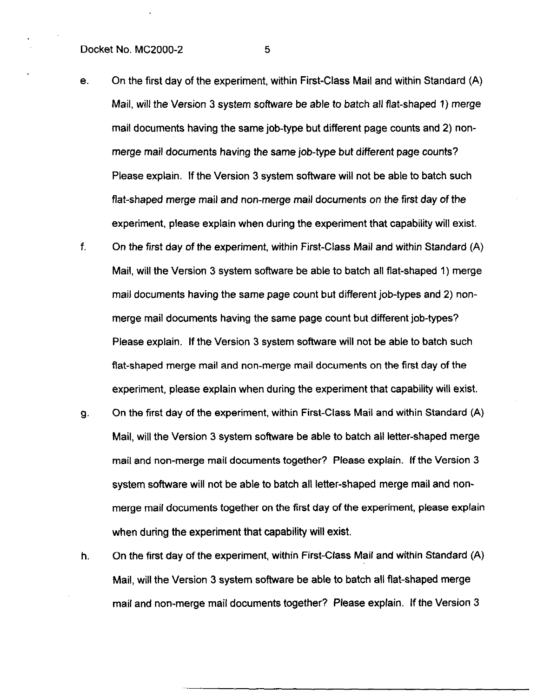#### Docket No. MC2000-2 5

- e. On the first day of the experiment, within First-Class Mail and within Standard (A) Mail, will the Version 3 system software be able to batch all flat-shaped 1) merge mail documents having the same job-type but different page counts and 2) nonmerge mail documents having the same job-type but different page counts? Please explain. If the Version 3 system software will not be able to batch such flat-shaped merge mail and non-merge mail documents on the first day of the experiment, please explain when during the experiment that capability will exist.
- f. On the first day of the experiment, within First-Class Mail and within Standard (A) Mail, will the Version 3 system software be able to batch all flat-shaped 1) merge mail documents having the same page count but different job-types and 2) nonmerge mail documents having the same page count but different job-types? Please explain, If the Version 3 system software will not be able to batch such flat-shaped merge mail and non-merge mail documents on the first day of the experiment, please explain when during the experiment that capability will exist.
- 9. On the first day of the experiment, within First-Class Mail and within Standard (A) Mail, will the Version 3 system software be able to batch all letter-shaped merge mail and non-merge mail documents together? Please explain. If the Version 3 system software will not be able to batch all letter-shaped merge mail and nonmerge mail documents together on the first day of the experiment, please explain when during the experiment that capability will exist.
- h. On the first day of the experiment, within First-Class Mail and within Standard (A) Mail, will the Version 3 system software be able to batch all flat-shaped merge mail and non-merge mail documents together? Please explain. If the Version 3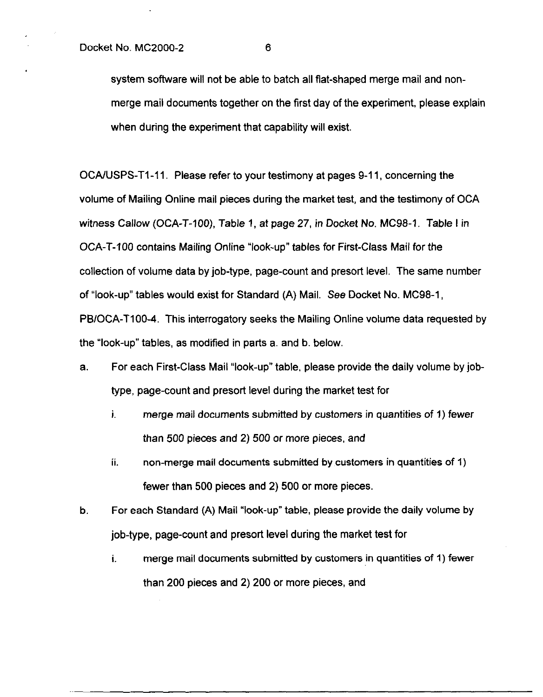system software will not be able to batch all flat-shaped merge mail and nonmerge mail documents together on the first day of the experiment, please explain when during the experiment that capability will exist.

OCAAJSPS-Tl-11. Please refer to your testimony at pages 9-11, concerning the volume of Mailing Online mail pieces during the market test, and the testimony of OCA witness Callow (OCA-T-100), Table 1, at page 27, in Docket No. MC98-1. Table I in OCA-T-100 contains Mailing Online "look-up" tables for First-Class Mail for the collection of volume data by job-type, page-count and presort level. The same number of "look-up" tables would exist for Standard (A) Mail. See Docket No. MC98-1, PBIOCA-TIOO-4. This interrogatory seeks the Mailing Online volume data requested by the "look-up" tables, as modified in parts a. and b. below.

- a. For each First-Class Mail "look-up" table, please provide the daily volume by jobtype, page-count and presort level during the market test for
	- i. merge mail documents submitted by customers in quantities of 1) fewer than 500 pieces and 2) 500 or more pieces, and
	- ii. non-merge mail documents submitted by customers in quantities of 1) fewer than 500 pieces and 2) 500 or more pieces.
- b. For each Standard (A) Mail "look-up" table, please provide the daily volume by job-type, page-count and presort level during the market test for
	- i. merge mail documents submitted by customers in quantities of 1) fewer than 200 pieces and 2) 200 or more pieces, and